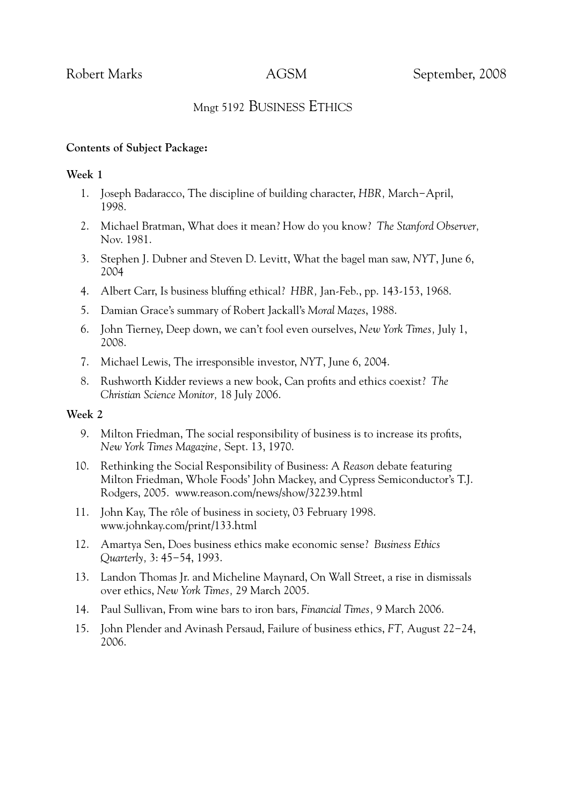# Mngt 5192 BUSINESS ETHICS

# **Contents of Subject Package:**

# **Week 1**

- 1. Joseph Badaracco, The discipline of building character, *HBR,* March−April, 1998.
- 2. Michael Bratman, What does it mean? How do you know? *The Stanford Observer,* Nov. 1981.
- 3. Stephen J. Dubner and Steven D. Levitt, What the bagel man saw, *NYT*, June 6, 2004
- 4. Albert Carr, Is business bluffing ethical? *HBR,* Jan-Feb., pp. 143-153, 1968.
- 5. Damian Grace's summary of Robert Jackall's *Moral Mazes*, 1988.
- 6. John Tierney, Deep down, we can't fool even ourselves, *New York Times,* July 1, 2008.
- 7. Michael Lewis, The irresponsible investor, *NYT*, June 6, 2004.
- 8. Rushworth Kidder reviews a new book, Can profits and ethics coexist? *The Christian Science Monitor,* 18 July 2006.

### **Week 2**

- 9. Milton Friedman, The social responsibility of business is to increase its profits, *New York Times Magazine,* Sept. 13, 1970.
- 10. Rethinking the Social Responsibility of Business: A *Reason* debate featuring Milton Friedman, Whole Foods' John Mackey, and Cypress Semiconductor's T.J. Rodgers, 2005. www.reason.com/news/show/32239.html
- 11. John Kay, The rôle of business in society, 03 February 1998. www.johnkay.com/print/133.html
- 12. Amartya Sen, Does business ethics make economic sense? *Business Ethics Quarterly,* 3: 45−54, 1993.
- 13. Landon Thomas Jr. and Micheline Maynard, On Wall Street, a rise in dismissals over ethics, *New York Times,* 29 March 2005.
- 14. Paul Sullivan, From wine bars to iron bars, *Financial Times,* 9 March 2006.
- 15. John Plender and Avinash Persaud, Failure of business ethics, *FT,* August 22−24, 2006.